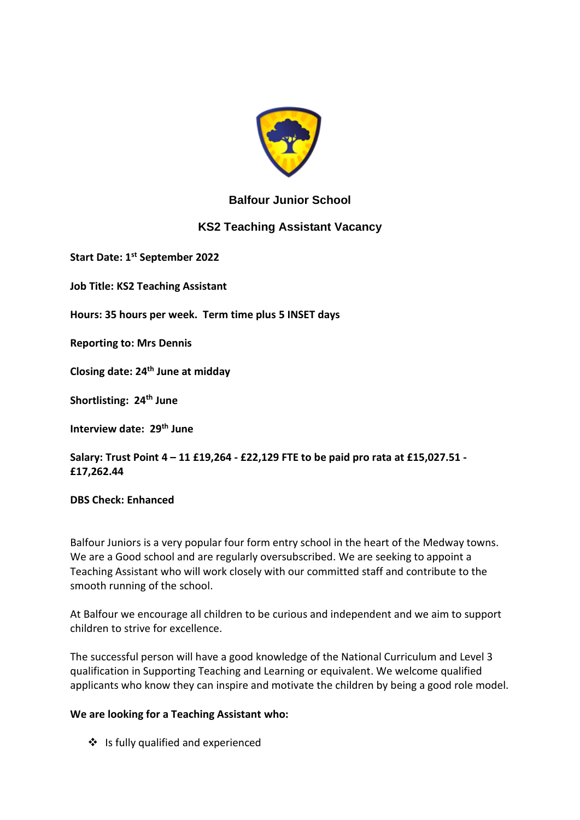

## **Balfour Junior School**

## **KS2 Teaching Assistant Vacancy**

**Start Date: 1st September 2022**

**Job Title: KS2 Teaching Assistant**

**Hours: 35 hours per week. Term time plus 5 INSET days**

**Reporting to: Mrs Dennis**

**Closing date: 24th June at midday**

**Shortlisting: 24th June**

**Interview date: 29th June**

**Salary: Trust Point 4 – 11 £19,264 - £22,129 FTE to be paid pro rata at £15,027.51 - £17,262.44**

**DBS Check: Enhanced**

Balfour Juniors is a very popular four form entry school in the heart of the Medway towns. We are a Good school and are regularly oversubscribed. We are seeking to appoint a Teaching Assistant who will work closely with our committed staff and contribute to the smooth running of the school.

At Balfour we encourage all children to be curious and independent and we aim to support children to strive for excellence.

The successful person will have a good knowledge of the National Curriculum and Level 3 qualification in Supporting Teaching and Learning or equivalent. We welcome qualified applicants who know they can inspire and motivate the children by being a good role model.

#### **We are looking for a Teaching Assistant who:**

❖ Is fully qualified and experienced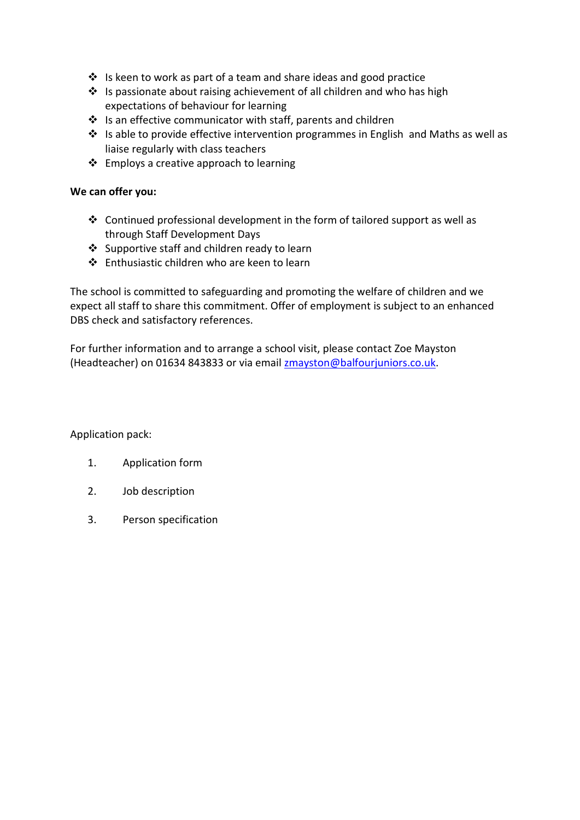- ❖ Is keen to work as part of a team and share ideas and good practice
- ❖ Is passionate about raising achievement of all children and who has high expectations of behaviour for learning
- ❖ Is an effective communicator with staff, parents and children
- ❖ Is able to provide effective intervention programmes in English and Maths as well as liaise regularly with class teachers
- ❖ Employs a creative approach to learning

#### **We can offer you:**

- ❖ Continued professional development in the form of tailored support as well as through Staff Development Days
- ❖ Supportive staff and children ready to learn
- ❖ Enthusiastic children who are keen to learn

The school is committed to safeguarding and promoting the welfare of children and we expect all staff to share this commitment. Offer of employment is subject to an enhanced DBS check and satisfactory references.

For further information and to arrange a school visit, please contact Zoe Mayston (Headteacher) on 01634 843833 or via email [zmayston@balfourjuniors.co.uk.](mailto:kparnell@balfourjuniors.co.uk)

Application pack:

- 1. Application form
- 2. Job description
- 3. Person specification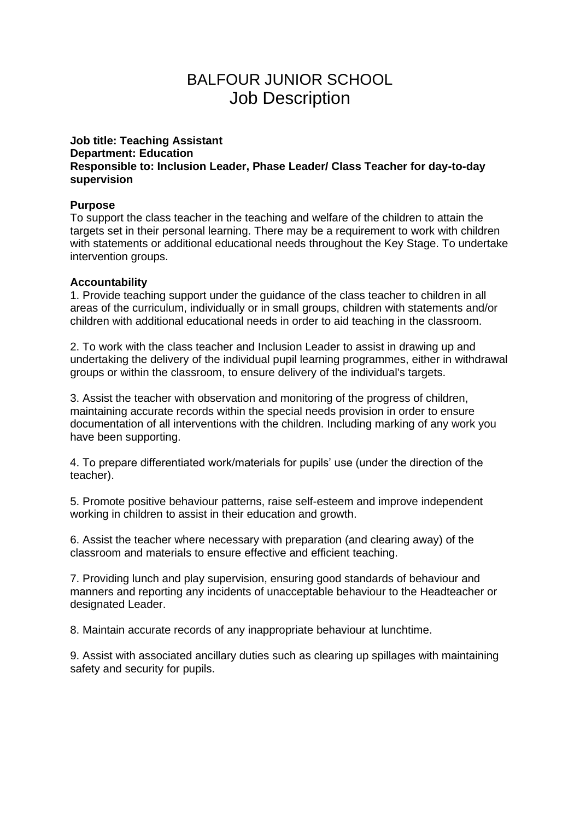# BALFOUR JUNIOR SCHOOL Job Description

#### **Job title: Teaching Assistant Department: Education Responsible to: Inclusion Leader, Phase Leader/ Class Teacher for day-to-day supervision**

#### **Purpose**

To support the class teacher in the teaching and welfare of the children to attain the targets set in their personal learning. There may be a requirement to work with children with statements or additional educational needs throughout the Key Stage. To undertake intervention groups.

### **Accountability**

1. Provide teaching support under the guidance of the class teacher to children in all areas of the curriculum, individually or in small groups, children with statements and/or children with additional educational needs in order to aid teaching in the classroom.

2. To work with the class teacher and Inclusion Leader to assist in drawing up and undertaking the delivery of the individual pupil learning programmes, either in withdrawal groups or within the classroom, to ensure delivery of the individual's targets.

3. Assist the teacher with observation and monitoring of the progress of children, maintaining accurate records within the special needs provision in order to ensure documentation of all interventions with the children. Including marking of any work you have been supporting.

4. To prepare differentiated work/materials for pupils' use (under the direction of the teacher).

5. Promote positive behaviour patterns, raise self-esteem and improve independent working in children to assist in their education and growth.

6. Assist the teacher where necessary with preparation (and clearing away) of the classroom and materials to ensure effective and efficient teaching.

7. Providing lunch and play supervision, ensuring good standards of behaviour and manners and reporting any incidents of unacceptable behaviour to the Headteacher or designated Leader.

8. Maintain accurate records of any inappropriate behaviour at lunchtime.

9. Assist with associated ancillary duties such as clearing up spillages with maintaining safety and security for pupils.